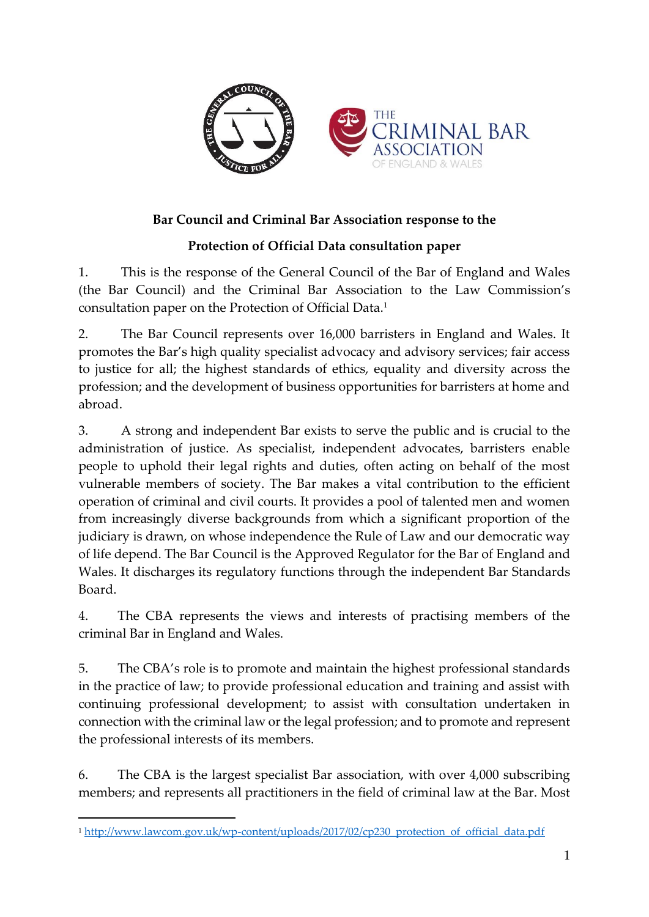

## **Bar Council and Criminal Bar Association response to the**

## **Protection of Official Data consultation paper**

1. This is the response of the General Council of the Bar of England and Wales (the Bar Council) and the Criminal Bar Association to the Law Commission's consultation paper on the Protection of Official Data.<sup>1</sup>

2. The Bar Council represents over 16,000 barristers in England and Wales. It promotes the Bar's high quality specialist advocacy and advisory services; fair access to justice for all; the highest standards of ethics, equality and diversity across the profession; and the development of business opportunities for barristers at home and abroad.

3. A strong and independent Bar exists to serve the public and is crucial to the administration of justice. As specialist, independent advocates, barristers enable people to uphold their legal rights and duties, often acting on behalf of the most vulnerable members of society. The Bar makes a vital contribution to the efficient operation of criminal and civil courts. It provides a pool of talented men and women from increasingly diverse backgrounds from which a significant proportion of the judiciary is drawn, on whose independence the Rule of Law and our democratic way of life depend. The Bar Council is the Approved Regulator for the Bar of England and Wales. It discharges its regulatory functions through the independent Bar Standards Board.

4. The CBA represents the views and interests of practising members of the criminal Bar in England and Wales.

5. The CBA's role is to promote and maintain the highest professional standards in the practice of law; to provide professional education and training and assist with continuing professional development; to assist with consultation undertaken in connection with the criminal law or the legal profession; and to promote and represent the professional interests of its members.

6. The CBA is the largest specialist Bar association, with over 4,000 subscribing members; and represents all practitioners in the field of criminal law at the Bar. Most

 $\overline{a}$ 

<sup>&</sup>lt;sup>1</sup> [http://www.lawcom.gov.uk/wp-content/uploads/2017/02/cp230\\_protection\\_of\\_official\\_data.pdf](http://www.lawcom.gov.uk/wp-content/uploads/2017/02/cp230_protection_of_official_data.pdf)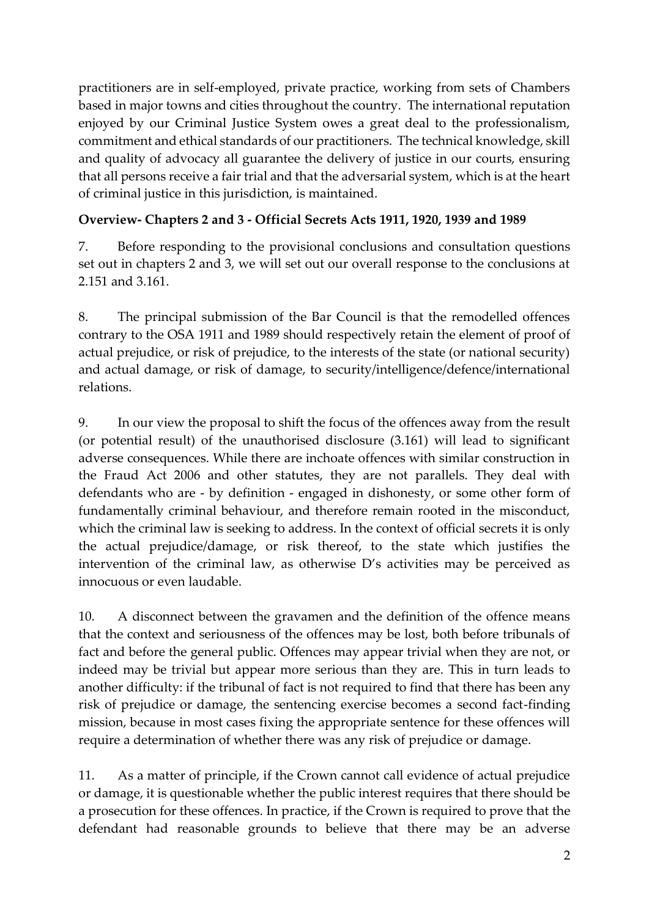practitioners are in self-employed, private practice, working from sets of Chambers based in major towns and cities throughout the country. The international reputation enjoyed by our Criminal Justice System owes a great deal to the professionalism, commitment and ethical standards of our practitioners. The technical knowledge, skill and quality of advocacy all guarantee the delivery of justice in our courts, ensuring that all persons receive a fair trial and that the adversarial system, which is at the heart of criminal justice in this jurisdiction, is maintained.

### **Overview- Chapters 2 and 3 - Official Secrets Acts 1911, 1920, 1939 and 1989**

7. Before responding to the provisional conclusions and consultation questions set out in chapters 2 and 3, we will set out our overall response to the conclusions at 2.151 and 3.161.

8. The principal submission of the Bar Council is that the remodelled offences contrary to the OSA 1911 and 1989 should respectively retain the element of proof of actual prejudice, or risk of prejudice, to the interests of the state (or national security) and actual damage, or risk of damage, to security/intelligence/defence/international relations.

9. In our view the proposal to shift the focus of the offences away from the result (or potential result) of the unauthorised disclosure (3.161) will lead to significant adverse consequences. While there are inchoate offences with similar construction in the Fraud Act 2006 and other statutes, they are not parallels. They deal with defendants who are - by definition - engaged in dishonesty, or some other form of fundamentally criminal behaviour, and therefore remain rooted in the misconduct, which the criminal law is seeking to address. In the context of official secrets it is only the actual prejudice/damage, or risk thereof, to the state which justifies the intervention of the criminal law, as otherwise D's activities may be perceived as innocuous or even laudable.

10. A disconnect between the gravamen and the definition of the offence means that the context and seriousness of the offences may be lost, both before tribunals of fact and before the general public. Offences may appear trivial when they are not, or indeed may be trivial but appear more serious than they are. This in turn leads to another difficulty: if the tribunal of fact is not required to find that there has been any risk of prejudice or damage, the sentencing exercise becomes a second fact-finding mission, because in most cases fixing the appropriate sentence for these offences will require a determination of whether there was any risk of prejudice or damage.

11. As a matter of principle, if the Crown cannot call evidence of actual prejudice or damage, it is questionable whether the public interest requires that there should be a prosecution for these offences. In practice, if the Crown is required to prove that the defendant had reasonable grounds to believe that there may be an adverse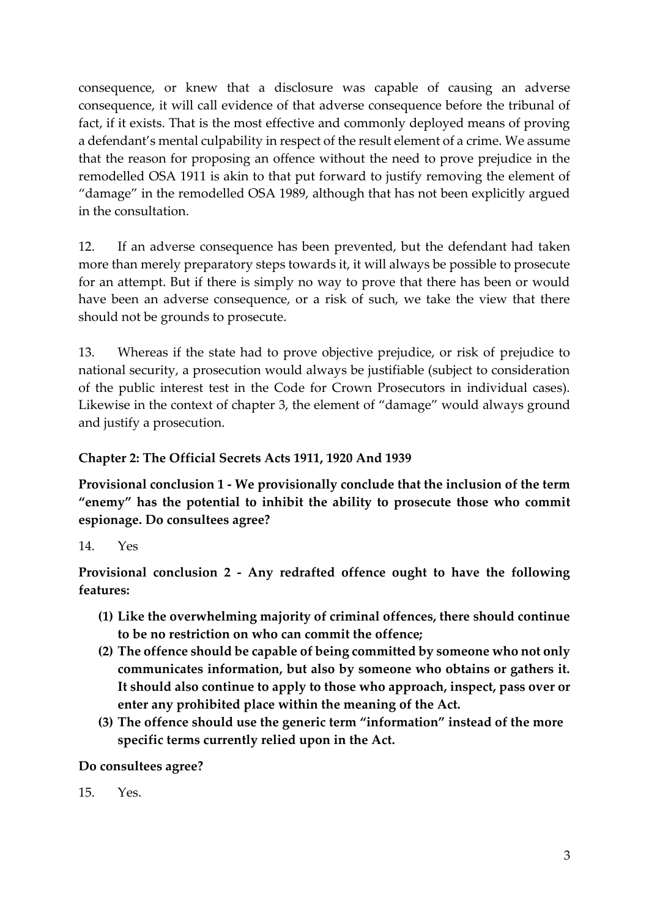consequence, or knew that a disclosure was capable of causing an adverse consequence, it will call evidence of that adverse consequence before the tribunal of fact, if it exists. That is the most effective and commonly deployed means of proving a defendant's mental culpability in respect of the result element of a crime. We assume that the reason for proposing an offence without the need to prove prejudice in the remodelled OSA 1911 is akin to that put forward to justify removing the element of "damage" in the remodelled OSA 1989, although that has not been explicitly argued in the consultation.

12. If an adverse consequence has been prevented, but the defendant had taken more than merely preparatory steps towards it, it will always be possible to prosecute for an attempt. But if there is simply no way to prove that there has been or would have been an adverse consequence, or a risk of such, we take the view that there should not be grounds to prosecute.

13. Whereas if the state had to prove objective prejudice, or risk of prejudice to national security, a prosecution would always be justifiable (subject to consideration of the public interest test in the Code for Crown Prosecutors in individual cases). Likewise in the context of chapter 3, the element of "damage" would always ground and justify a prosecution.

#### **Chapter 2: The Official Secrets Acts 1911, 1920 And 1939**

**Provisional conclusion 1 - We provisionally conclude that the inclusion of the term "enemy" has the potential to inhibit the ability to prosecute those who commit espionage. Do consultees agree?**

#### 14. Yes

**Provisional conclusion 2 - Any redrafted offence ought to have the following features:**

- **(1) Like the overwhelming majority of criminal offences, there should continue to be no restriction on who can commit the offence;**
- **(2) The offence should be capable of being committed by someone who not only communicates information, but also by someone who obtains or gathers it. It should also continue to apply to those who approach, inspect, pass over or enter any prohibited place within the meaning of the Act.**
- **(3) The offence should use the generic term "information" instead of the more specific terms currently relied upon in the Act.**

#### **Do consultees agree?**

15. Yes.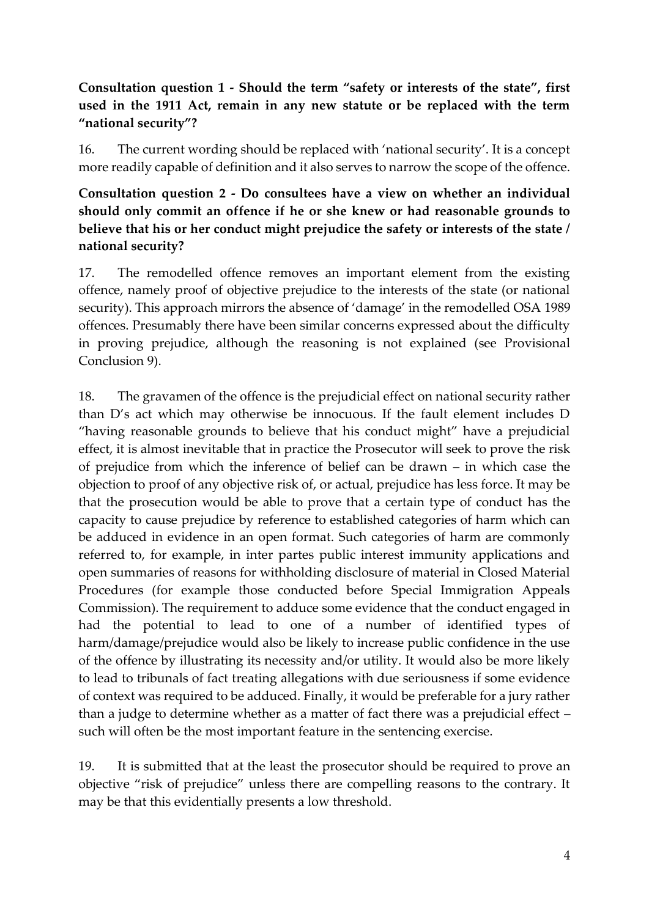## **Consultation question 1 - Should the term "safety or interests of the state", first used in the 1911 Act, remain in any new statute or be replaced with the term "national security"?**

16. The current wording should be replaced with 'national security'. It is a concept more readily capable of definition and it also serves to narrow the scope of the offence.

## **Consultation question 2 - Do consultees have a view on whether an individual should only commit an offence if he or she knew or had reasonable grounds to believe that his or her conduct might prejudice the safety or interests of the state / national security?**

17. The remodelled offence removes an important element from the existing offence, namely proof of objective prejudice to the interests of the state (or national security). This approach mirrors the absence of 'damage' in the remodelled OSA 1989 offences. Presumably there have been similar concerns expressed about the difficulty in proving prejudice, although the reasoning is not explained (see Provisional Conclusion 9).

18. The gravamen of the offence is the prejudicial effect on national security rather than D's act which may otherwise be innocuous. If the fault element includes D "having reasonable grounds to believe that his conduct might" have a prejudicial effect, it is almost inevitable that in practice the Prosecutor will seek to prove the risk of prejudice from which the inference of belief can be drawn – in which case the objection to proof of any objective risk of, or actual, prejudice has less force. It may be that the prosecution would be able to prove that a certain type of conduct has the capacity to cause prejudice by reference to established categories of harm which can be adduced in evidence in an open format. Such categories of harm are commonly referred to, for example, in inter partes public interest immunity applications and open summaries of reasons for withholding disclosure of material in Closed Material Procedures (for example those conducted before Special Immigration Appeals Commission). The requirement to adduce some evidence that the conduct engaged in had the potential to lead to one of a number of identified types of harm/damage/prejudice would also be likely to increase public confidence in the use of the offence by illustrating its necessity and/or utility. It would also be more likely to lead to tribunals of fact treating allegations with due seriousness if some evidence of context was required to be adduced. Finally, it would be preferable for a jury rather than a judge to determine whether as a matter of fact there was a prejudicial effect – such will often be the most important feature in the sentencing exercise.

19. It is submitted that at the least the prosecutor should be required to prove an objective "risk of prejudice" unless there are compelling reasons to the contrary. It may be that this evidentially presents a low threshold.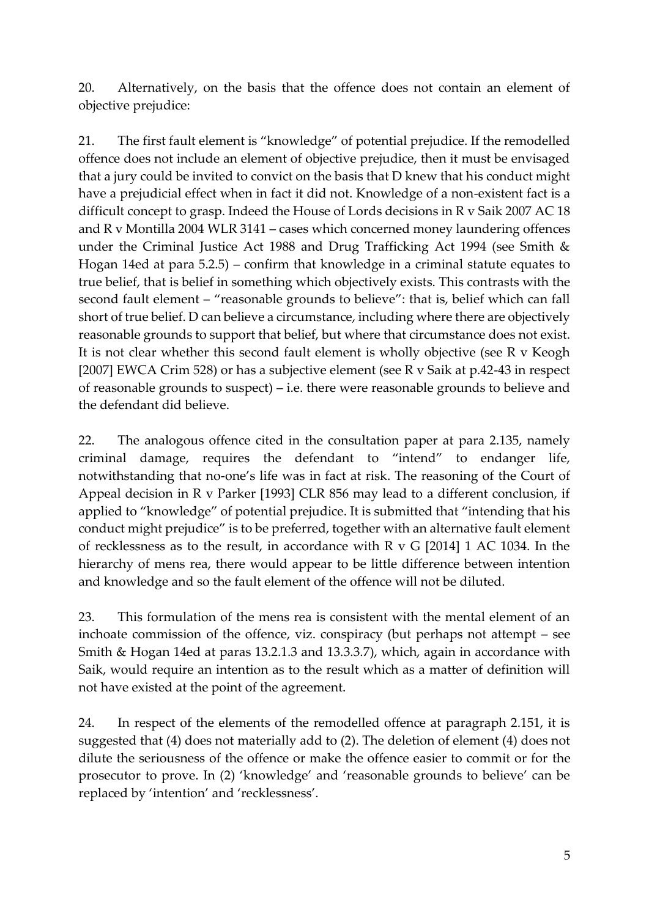20. Alternatively, on the basis that the offence does not contain an element of objective prejudice:

21. The first fault element is "knowledge" of potential prejudice. If the remodelled offence does not include an element of objective prejudice, then it must be envisaged that a jury could be invited to convict on the basis that D knew that his conduct might have a prejudicial effect when in fact it did not. Knowledge of a non-existent fact is a difficult concept to grasp. Indeed the House of Lords decisions in R v Saik 2007 AC 18 and R v Montilla 2004 WLR 3141 – cases which concerned money laundering offences under the Criminal Justice Act 1988 and Drug Trafficking Act 1994 (see Smith & Hogan 14ed at para 5.2.5) – confirm that knowledge in a criminal statute equates to true belief, that is belief in something which objectively exists. This contrasts with the second fault element – "reasonable grounds to believe": that is, belief which can fall short of true belief. D can believe a circumstance, including where there are objectively reasonable grounds to support that belief, but where that circumstance does not exist. It is not clear whether this second fault element is wholly objective (see R v Keogh [2007] EWCA Crim 528) or has a subjective element (see R v Saik at p.42-43 in respect of reasonable grounds to suspect) – i.e. there were reasonable grounds to believe and the defendant did believe.

22. The analogous offence cited in the consultation paper at para 2.135, namely criminal damage, requires the defendant to "intend" to endanger life, notwithstanding that no-one's life was in fact at risk. The reasoning of the Court of Appeal decision in R v Parker [1993] CLR 856 may lead to a different conclusion, if applied to "knowledge" of potential prejudice. It is submitted that "intending that his conduct might prejudice" is to be preferred, together with an alternative fault element of recklessness as to the result, in accordance with R v G [2014] 1 AC 1034. In the hierarchy of mens rea, there would appear to be little difference between intention and knowledge and so the fault element of the offence will not be diluted.

23. This formulation of the mens rea is consistent with the mental element of an inchoate commission of the offence, viz. conspiracy (but perhaps not attempt – see Smith & Hogan 14ed at paras 13.2.1.3 and 13.3.3.7), which, again in accordance with Saik, would require an intention as to the result which as a matter of definition will not have existed at the point of the agreement.

24. In respect of the elements of the remodelled offence at paragraph 2.151, it is suggested that (4) does not materially add to (2). The deletion of element (4) does not dilute the seriousness of the offence or make the offence easier to commit or for the prosecutor to prove. In (2) 'knowledge' and 'reasonable grounds to believe' can be replaced by 'intention' and 'recklessness'.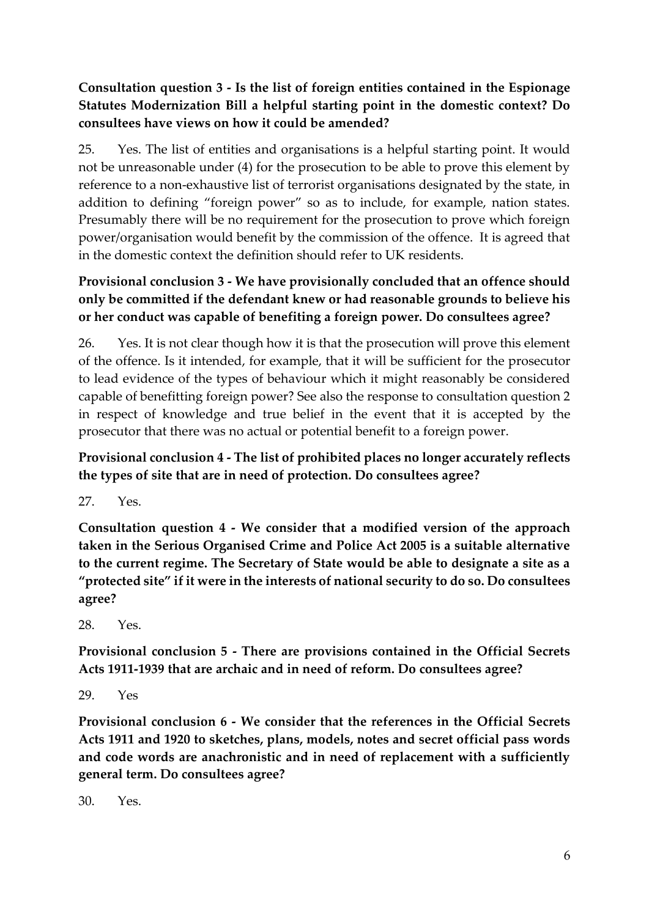## **Consultation question 3 - Is the list of foreign entities contained in the Espionage Statutes Modernization Bill a helpful starting point in the domestic context? Do consultees have views on how it could be amended?**

25. Yes. The list of entities and organisations is a helpful starting point. It would not be unreasonable under (4) for the prosecution to be able to prove this element by reference to a non-exhaustive list of terrorist organisations designated by the state, in addition to defining "foreign power" so as to include, for example, nation states. Presumably there will be no requirement for the prosecution to prove which foreign power/organisation would benefit by the commission of the offence. It is agreed that in the domestic context the definition should refer to UK residents.

## **Provisional conclusion 3 - We have provisionally concluded that an offence should only be committed if the defendant knew or had reasonable grounds to believe his or her conduct was capable of benefiting a foreign power. Do consultees agree?**

26. Yes. It is not clear though how it is that the prosecution will prove this element of the offence. Is it intended, for example, that it will be sufficient for the prosecutor to lead evidence of the types of behaviour which it might reasonably be considered capable of benefitting foreign power? See also the response to consultation question 2 in respect of knowledge and true belief in the event that it is accepted by the prosecutor that there was no actual or potential benefit to a foreign power.

## **Provisional conclusion 4 - The list of prohibited places no longer accurately reflects the types of site that are in need of protection. Do consultees agree?**

27. Yes.

**Consultation question 4 - We consider that a modified version of the approach taken in the Serious Organised Crime and Police Act 2005 is a suitable alternative to the current regime. The Secretary of State would be able to designate a site as a "protected site" if it were in the interests of national security to do so. Do consultees agree?**

28. Yes.

**Provisional conclusion 5 - There are provisions contained in the Official Secrets Acts 1911-1939 that are archaic and in need of reform. Do consultees agree?**

29. Yes

**Provisional conclusion 6 - We consider that the references in the Official Secrets Acts 1911 and 1920 to sketches, plans, models, notes and secret official pass words and code words are anachronistic and in need of replacement with a sufficiently general term. Do consultees agree?**

30. Yes.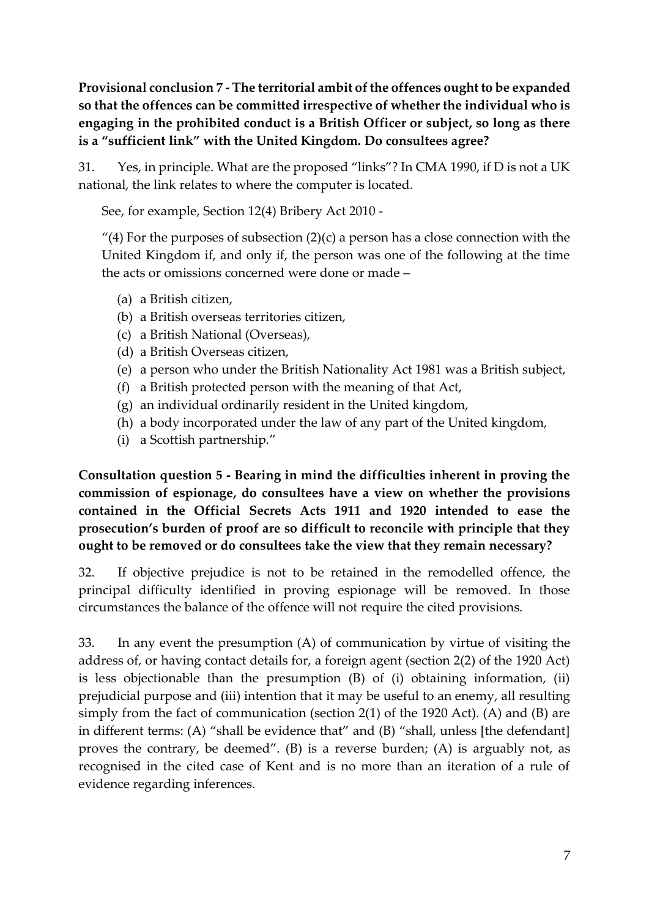**Provisional conclusion 7 - The territorial ambit of the offences ought to be expanded so that the offences can be committed irrespective of whether the individual who is engaging in the prohibited conduct is a British Officer or subject, so long as there is a "sufficient link" with the United Kingdom. Do consultees agree?**

31. Yes, in principle. What are the proposed "links"? In CMA 1990, if D is not a UK national, the link relates to where the computer is located.

See, for example, Section 12(4) Bribery Act 2010 -

"(4) For the purposes of subsection  $(2)(c)$  a person has a close connection with the United Kingdom if, and only if, the person was one of the following at the time the acts or omissions concerned were done or made –

- (a) a British citizen,
- (b) a British overseas territories citizen,
- (c) a British National (Overseas),
- (d) a British Overseas citizen,
- (e) a person who under the British Nationality Act 1981 was a British subject,
- (f) a British protected person with the meaning of that Act,
- (g) an individual ordinarily resident in the United kingdom,
- (h) a body incorporated under the law of any part of the United kingdom,
- (i) a Scottish partnership."

**Consultation question 5 - Bearing in mind the difficulties inherent in proving the commission of espionage, do consultees have a view on whether the provisions contained in the Official Secrets Acts 1911 and 1920 intended to ease the prosecution's burden of proof are so difficult to reconcile with principle that they ought to be removed or do consultees take the view that they remain necessary?**

32. If objective prejudice is not to be retained in the remodelled offence, the principal difficulty identified in proving espionage will be removed. In those circumstances the balance of the offence will not require the cited provisions.

33. In any event the presumption (A) of communication by virtue of visiting the address of, or having contact details for, a foreign agent (section 2(2) of the 1920 Act) is less objectionable than the presumption (B) of (i) obtaining information, (ii) prejudicial purpose and (iii) intention that it may be useful to an enemy, all resulting simply from the fact of communication (section 2(1) of the 1920 Act). (A) and (B) are in different terms: (A) "shall be evidence that" and (B) "shall, unless [the defendant] proves the contrary, be deemed". (B) is a reverse burden; (A) is arguably not, as recognised in the cited case of Kent and is no more than an iteration of a rule of evidence regarding inferences.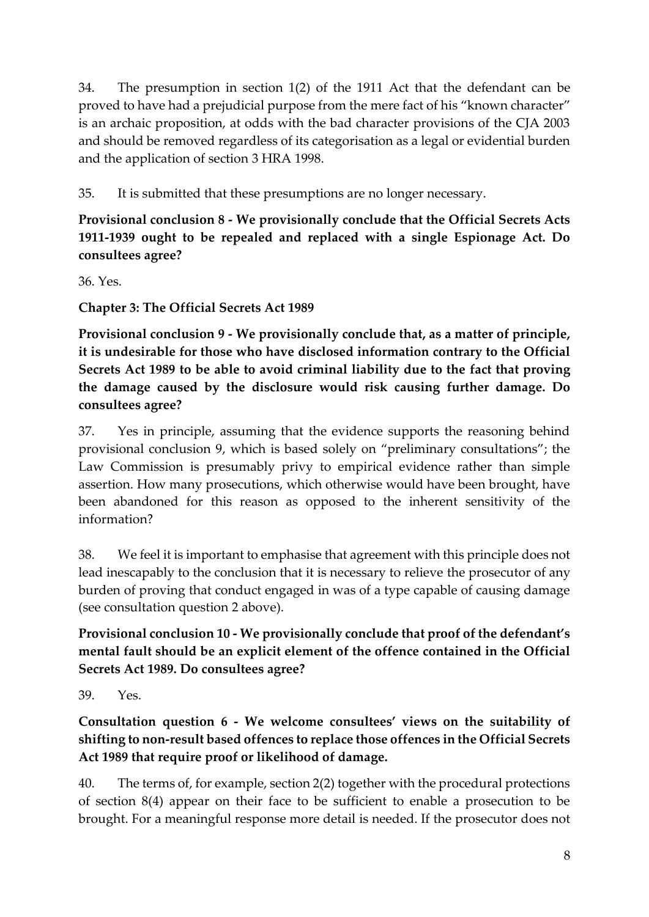34. The presumption in section 1(2) of the 1911 Act that the defendant can be proved to have had a prejudicial purpose from the mere fact of his "known character" is an archaic proposition, at odds with the bad character provisions of the CJA 2003 and should be removed regardless of its categorisation as a legal or evidential burden and the application of section 3 HRA 1998.

35. It is submitted that these presumptions are no longer necessary.

**Provisional conclusion 8 - We provisionally conclude that the Official Secrets Acts 1911-1939 ought to be repealed and replaced with a single Espionage Act. Do consultees agree?**

36. Yes.

**Chapter 3: The Official Secrets Act 1989**

**Provisional conclusion 9 - We provisionally conclude that, as a matter of principle, it is undesirable for those who have disclosed information contrary to the Official Secrets Act 1989 to be able to avoid criminal liability due to the fact that proving the damage caused by the disclosure would risk causing further damage. Do consultees agree?**

37. Yes in principle, assuming that the evidence supports the reasoning behind provisional conclusion 9, which is based solely on "preliminary consultations"; the Law Commission is presumably privy to empirical evidence rather than simple assertion. How many prosecutions, which otherwise would have been brought, have been abandoned for this reason as opposed to the inherent sensitivity of the information?

38. We feel it is important to emphasise that agreement with this principle does not lead inescapably to the conclusion that it is necessary to relieve the prosecutor of any burden of proving that conduct engaged in was of a type capable of causing damage (see consultation question 2 above).

**Provisional conclusion 10 - We provisionally conclude that proof of the defendant's mental fault should be an explicit element of the offence contained in the Official Secrets Act 1989. Do consultees agree?**

39. Yes.

**Consultation question 6 - We welcome consultees' views on the suitability of shifting to non-result based offences to replace those offences in the Official Secrets Act 1989 that require proof or likelihood of damage.**

40. The terms of, for example, section 2(2) together with the procedural protections of section 8(4) appear on their face to be sufficient to enable a prosecution to be brought. For a meaningful response more detail is needed. If the prosecutor does not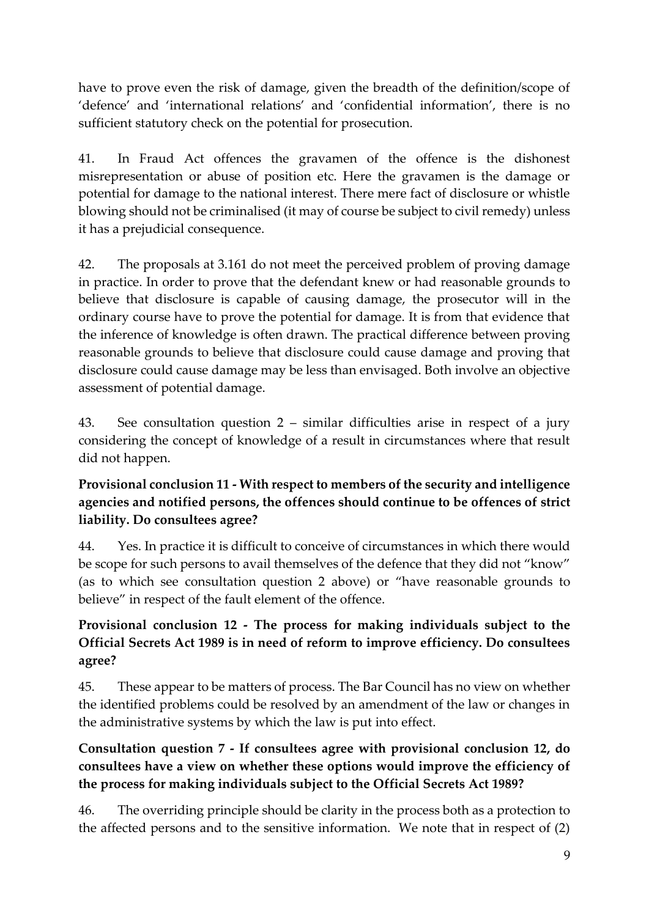have to prove even the risk of damage, given the breadth of the definition/scope of 'defence' and 'international relations' and 'confidential information', there is no sufficient statutory check on the potential for prosecution.

41. In Fraud Act offences the gravamen of the offence is the dishonest misrepresentation or abuse of position etc. Here the gravamen is the damage or potential for damage to the national interest. There mere fact of disclosure or whistle blowing should not be criminalised (it may of course be subject to civil remedy) unless it has a prejudicial consequence.

42. The proposals at 3.161 do not meet the perceived problem of proving damage in practice. In order to prove that the defendant knew or had reasonable grounds to believe that disclosure is capable of causing damage, the prosecutor will in the ordinary course have to prove the potential for damage. It is from that evidence that the inference of knowledge is often drawn. The practical difference between proving reasonable grounds to believe that disclosure could cause damage and proving that disclosure could cause damage may be less than envisaged. Both involve an objective assessment of potential damage.

43. See consultation question 2 – similar difficulties arise in respect of a jury considering the concept of knowledge of a result in circumstances where that result did not happen.

## **Provisional conclusion 11 - With respect to members of the security and intelligence agencies and notified persons, the offences should continue to be offences of strict liability. Do consultees agree?**

44. Yes. In practice it is difficult to conceive of circumstances in which there would be scope for such persons to avail themselves of the defence that they did not "know" (as to which see consultation question 2 above) or "have reasonable grounds to believe" in respect of the fault element of the offence.

## **Provisional conclusion 12 - The process for making individuals subject to the Official Secrets Act 1989 is in need of reform to improve efficiency. Do consultees agree?**

45. These appear to be matters of process. The Bar Council has no view on whether the identified problems could be resolved by an amendment of the law or changes in the administrative systems by which the law is put into effect.

## **Consultation question 7 - If consultees agree with provisional conclusion 12, do consultees have a view on whether these options would improve the efficiency of the process for making individuals subject to the Official Secrets Act 1989?**

46. The overriding principle should be clarity in the process both as a protection to the affected persons and to the sensitive information. We note that in respect of (2)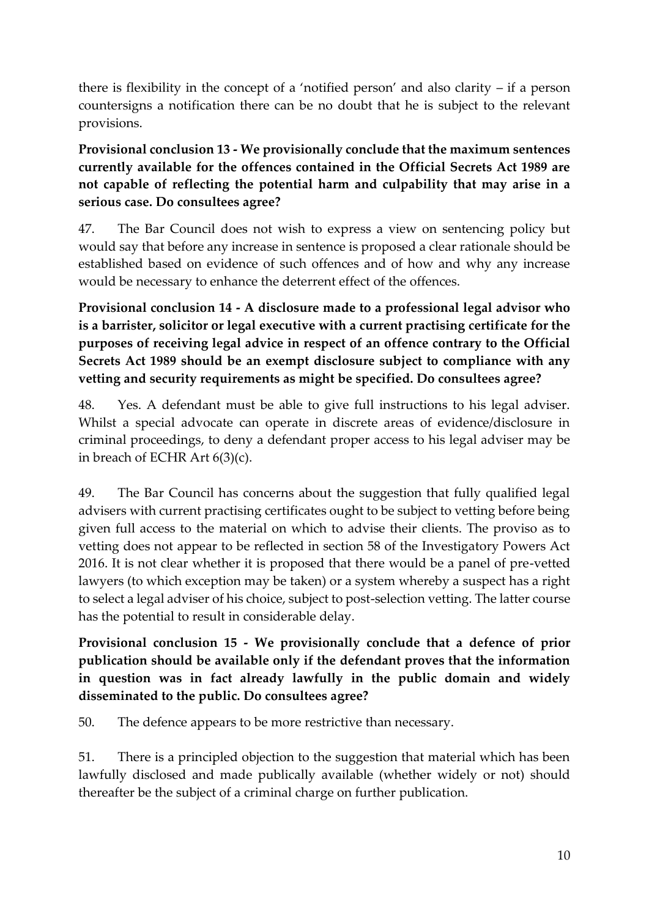there is flexibility in the concept of a 'notified person' and also clarity – if a person countersigns a notification there can be no doubt that he is subject to the relevant provisions.

**Provisional conclusion 13 - We provisionally conclude that the maximum sentences currently available for the offences contained in the Official Secrets Act 1989 are not capable of reflecting the potential harm and culpability that may arise in a serious case. Do consultees agree?**

47. The Bar Council does not wish to express a view on sentencing policy but would say that before any increase in sentence is proposed a clear rationale should be established based on evidence of such offences and of how and why any increase would be necessary to enhance the deterrent effect of the offences.

**Provisional conclusion 14 - A disclosure made to a professional legal advisor who is a barrister, solicitor or legal executive with a current practising certificate for the purposes of receiving legal advice in respect of an offence contrary to the Official Secrets Act 1989 should be an exempt disclosure subject to compliance with any vetting and security requirements as might be specified. Do consultees agree?**

48. Yes. A defendant must be able to give full instructions to his legal adviser. Whilst a special advocate can operate in discrete areas of evidence/disclosure in criminal proceedings, to deny a defendant proper access to his legal adviser may be in breach of ECHR Art 6(3)(c).

49. The Bar Council has concerns about the suggestion that fully qualified legal advisers with current practising certificates ought to be subject to vetting before being given full access to the material on which to advise their clients. The proviso as to vetting does not appear to be reflected in section 58 of the Investigatory Powers Act 2016. It is not clear whether it is proposed that there would be a panel of pre-vetted lawyers (to which exception may be taken) or a system whereby a suspect has a right to select a legal adviser of his choice, subject to post-selection vetting. The latter course has the potential to result in considerable delay.

**Provisional conclusion 15 - We provisionally conclude that a defence of prior publication should be available only if the defendant proves that the information in question was in fact already lawfully in the public domain and widely disseminated to the public. Do consultees agree?**

50. The defence appears to be more restrictive than necessary.

51. There is a principled objection to the suggestion that material which has been lawfully disclosed and made publically available (whether widely or not) should thereafter be the subject of a criminal charge on further publication.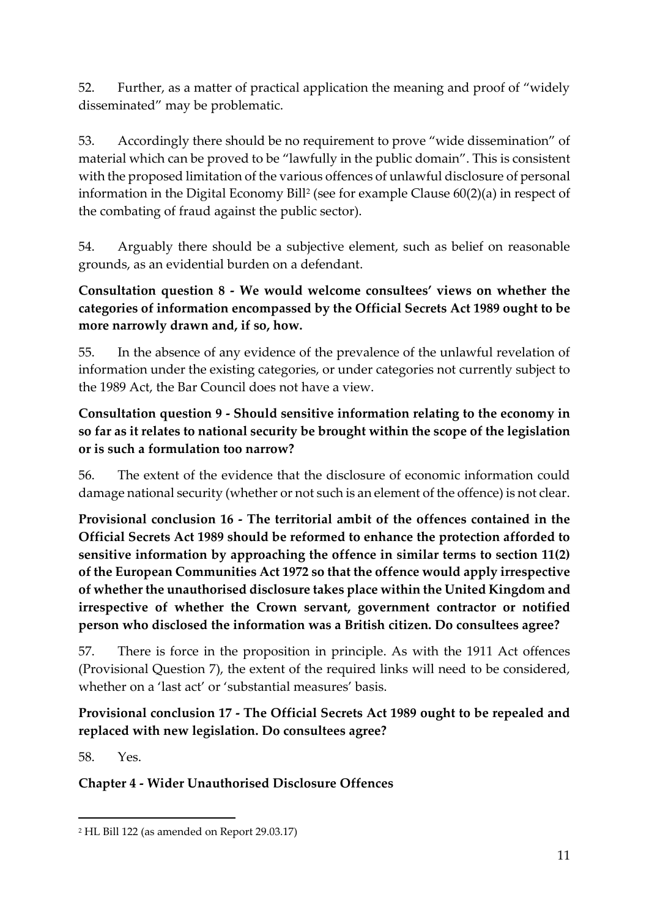52. Further, as a matter of practical application the meaning and proof of "widely disseminated" may be problematic.

53. Accordingly there should be no requirement to prove "wide dissemination" of material which can be proved to be "lawfully in the public domain". This is consistent with the proposed limitation of the various offences of unlawful disclosure of personal information in the Digital Economy Bill<sup>2</sup> (see for example Clause 60(2)(a) in respect of the combating of fraud against the public sector).

54. Arguably there should be a subjective element, such as belief on reasonable grounds, as an evidential burden on a defendant.

**Consultation question 8 - We would welcome consultees' views on whether the categories of information encompassed by the Official Secrets Act 1989 ought to be more narrowly drawn and, if so, how.**

55. In the absence of any evidence of the prevalence of the unlawful revelation of information under the existing categories, or under categories not currently subject to the 1989 Act, the Bar Council does not have a view.

## **Consultation question 9 - Should sensitive information relating to the economy in so far as it relates to national security be brought within the scope of the legislation or is such a formulation too narrow?**

56. The extent of the evidence that the disclosure of economic information could damage national security (whether or not such is an element of the offence) is not clear.

**Provisional conclusion 16 - The territorial ambit of the offences contained in the Official Secrets Act 1989 should be reformed to enhance the protection afforded to sensitive information by approaching the offence in similar terms to section 11(2) of the European Communities Act 1972 so that the offence would apply irrespective of whether the unauthorised disclosure takes place within the United Kingdom and irrespective of whether the Crown servant, government contractor or notified person who disclosed the information was a British citizen. Do consultees agree?**

57. There is force in the proposition in principle. As with the 1911 Act offences (Provisional Question 7), the extent of the required links will need to be considered, whether on a 'last act' or 'substantial measures' basis.

## **Provisional conclusion 17 - The Official Secrets Act 1989 ought to be repealed and replaced with new legislation. Do consultees agree?**

58. Yes.

 $\overline{a}$ 

# **Chapter 4 - Wider Unauthorised Disclosure Offences**

<sup>2</sup> HL Bill 122 (as amended on Report 29.03.17)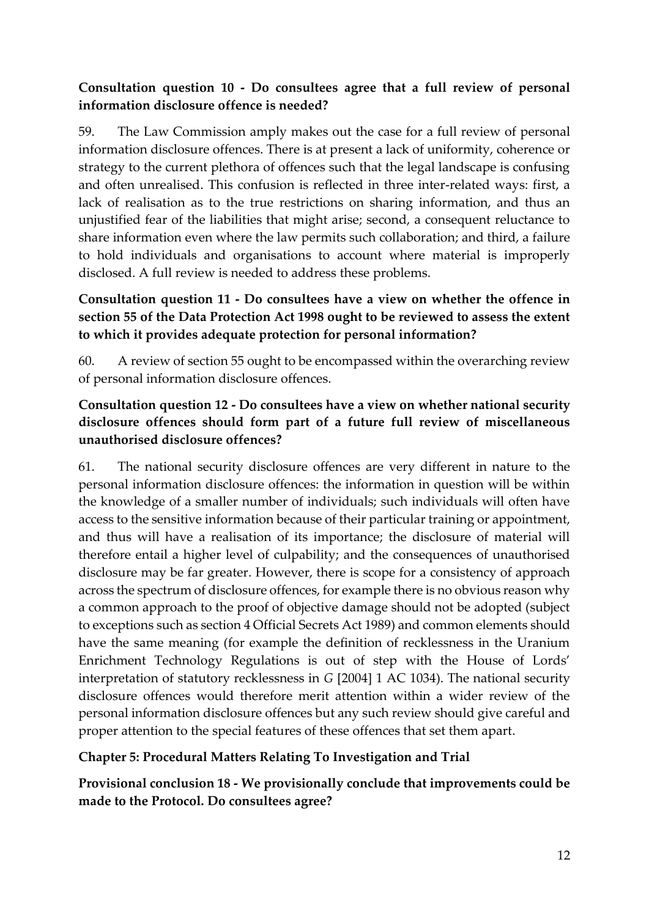### **Consultation question 10 - Do consultees agree that a full review of personal information disclosure offence is needed?**

59. The Law Commission amply makes out the case for a full review of personal information disclosure offences. There is at present a lack of uniformity, coherence or strategy to the current plethora of offences such that the legal landscape is confusing and often unrealised. This confusion is reflected in three inter-related ways: first, a lack of realisation as to the true restrictions on sharing information, and thus an unjustified fear of the liabilities that might arise; second, a consequent reluctance to share information even where the law permits such collaboration; and third, a failure to hold individuals and organisations to account where material is improperly disclosed. A full review is needed to address these problems.

## **Consultation question 11 - Do consultees have a view on whether the offence in section 55 of the Data Protection Act 1998 ought to be reviewed to assess the extent to which it provides adequate protection for personal information?**

60. A review of section 55 ought to be encompassed within the overarching review of personal information disclosure offences.

## **Consultation question 12 - Do consultees have a view on whether national security disclosure offences should form part of a future full review of miscellaneous unauthorised disclosure offences?**

61. The national security disclosure offences are very different in nature to the personal information disclosure offences: the information in question will be within the knowledge of a smaller number of individuals; such individuals will often have access to the sensitive information because of their particular training or appointment, and thus will have a realisation of its importance; the disclosure of material will therefore entail a higher level of culpability; and the consequences of unauthorised disclosure may be far greater. However, there is scope for a consistency of approach across the spectrum of disclosure offences, for example there is no obvious reason why a common approach to the proof of objective damage should not be adopted (subject to exceptions such as section 4 Official Secrets Act 1989) and common elements should have the same meaning (for example the definition of recklessness in the Uranium Enrichment Technology Regulations is out of step with the House of Lords' interpretation of statutory recklessness in *G* [2004] 1 AC 1034). The national security disclosure offences would therefore merit attention within a wider review of the personal information disclosure offences but any such review should give careful and proper attention to the special features of these offences that set them apart.

### **Chapter 5: Procedural Matters Relating To Investigation and Trial**

**Provisional conclusion 18 - We provisionally conclude that improvements could be made to the Protocol. Do consultees agree?**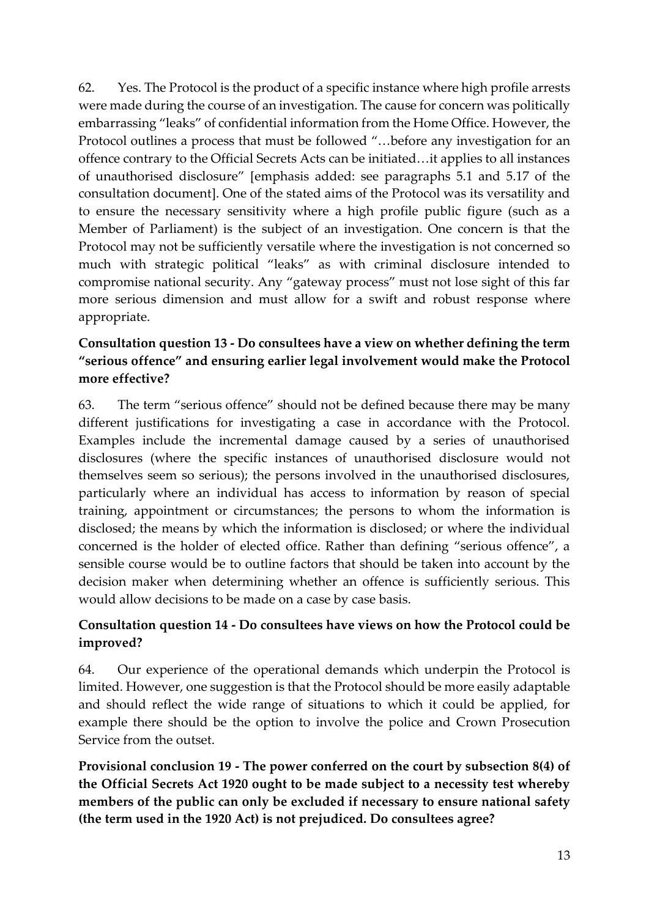62. Yes. The Protocol is the product of a specific instance where high profile arrests were made during the course of an investigation. The cause for concern was politically embarrassing "leaks" of confidential information from the Home Office. However, the Protocol outlines a process that must be followed "…before any investigation for an offence contrary to the Official Secrets Acts can be initiated…it applies to all instances of unauthorised disclosure" [emphasis added: see paragraphs 5.1 and 5.17 of the consultation document]. One of the stated aims of the Protocol was its versatility and to ensure the necessary sensitivity where a high profile public figure (such as a Member of Parliament) is the subject of an investigation. One concern is that the Protocol may not be sufficiently versatile where the investigation is not concerned so much with strategic political "leaks" as with criminal disclosure intended to compromise national security. Any "gateway process" must not lose sight of this far more serious dimension and must allow for a swift and robust response where appropriate.

## **Consultation question 13 - Do consultees have a view on whether defining the term "serious offence" and ensuring earlier legal involvement would make the Protocol more effective?**

63. The term "serious offence" should not be defined because there may be many different justifications for investigating a case in accordance with the Protocol. Examples include the incremental damage caused by a series of unauthorised disclosures (where the specific instances of unauthorised disclosure would not themselves seem so serious); the persons involved in the unauthorised disclosures, particularly where an individual has access to information by reason of special training, appointment or circumstances; the persons to whom the information is disclosed; the means by which the information is disclosed; or where the individual concerned is the holder of elected office. Rather than defining "serious offence", a sensible course would be to outline factors that should be taken into account by the decision maker when determining whether an offence is sufficiently serious. This would allow decisions to be made on a case by case basis.

## **Consultation question 14 - Do consultees have views on how the Protocol could be improved?**

64. Our experience of the operational demands which underpin the Protocol is limited. However, one suggestion is that the Protocol should be more easily adaptable and should reflect the wide range of situations to which it could be applied, for example there should be the option to involve the police and Crown Prosecution Service from the outset.

**Provisional conclusion 19 - The power conferred on the court by subsection 8(4) of the Official Secrets Act 1920 ought to be made subject to a necessity test whereby members of the public can only be excluded if necessary to ensure national safety (the term used in the 1920 Act) is not prejudiced. Do consultees agree?**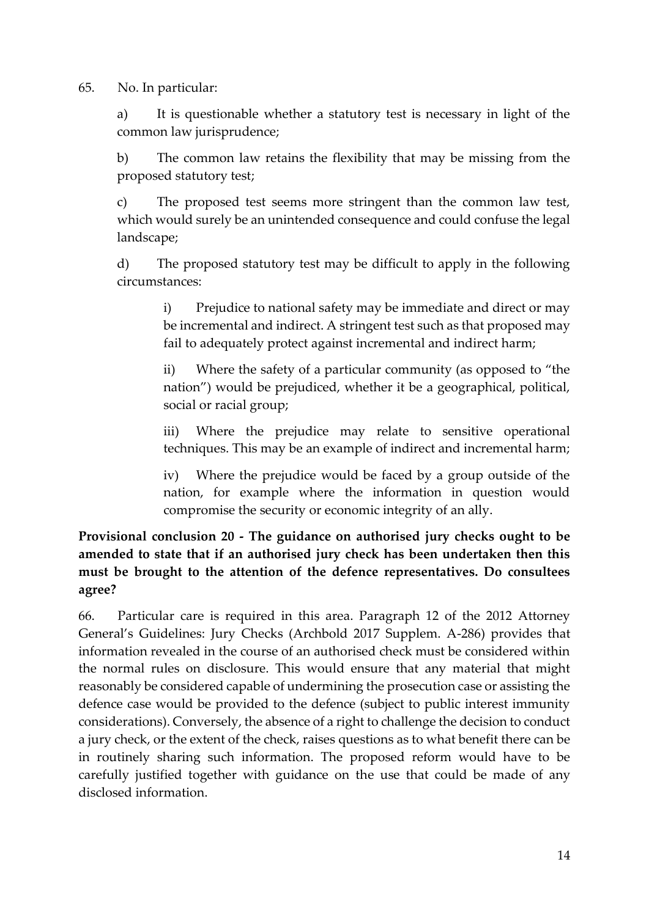65. No. In particular:

a) It is questionable whether a statutory test is necessary in light of the common law jurisprudence;

b) The common law retains the flexibility that may be missing from the proposed statutory test;

c) The proposed test seems more stringent than the common law test, which would surely be an unintended consequence and could confuse the legal landscape;

d) The proposed statutory test may be difficult to apply in the following circumstances:

> i) Prejudice to national safety may be immediate and direct or may be incremental and indirect. A stringent test such as that proposed may fail to adequately protect against incremental and indirect harm;

> ii) Where the safety of a particular community (as opposed to "the nation") would be prejudiced, whether it be a geographical, political, social or racial group;

> iii) Where the prejudice may relate to sensitive operational techniques. This may be an example of indirect and incremental harm;

> iv) Where the prejudice would be faced by a group outside of the nation, for example where the information in question would compromise the security or economic integrity of an ally.

## **Provisional conclusion 20 - The guidance on authorised jury checks ought to be amended to state that if an authorised jury check has been undertaken then this must be brought to the attention of the defence representatives. Do consultees agree?**

66. Particular care is required in this area. Paragraph 12 of the 2012 Attorney General's Guidelines: Jury Checks (Archbold 2017 Supplem. A-286) provides that information revealed in the course of an authorised check must be considered within the normal rules on disclosure. This would ensure that any material that might reasonably be considered capable of undermining the prosecution case or assisting the defence case would be provided to the defence (subject to public interest immunity considerations). Conversely, the absence of a right to challenge the decision to conduct a jury check, or the extent of the check, raises questions as to what benefit there can be in routinely sharing such information. The proposed reform would have to be carefully justified together with guidance on the use that could be made of any disclosed information.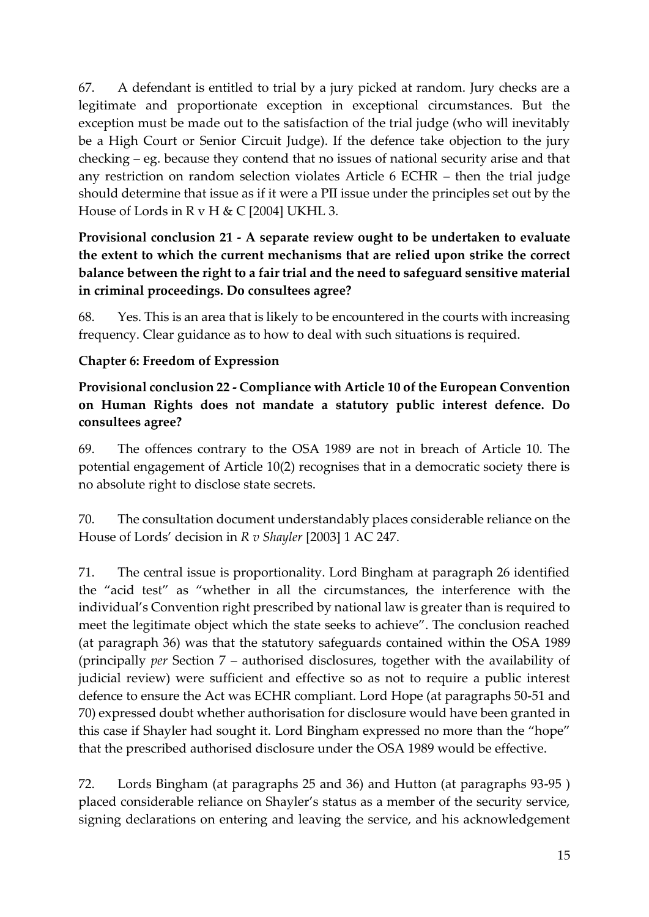67. A defendant is entitled to trial by a jury picked at random. Jury checks are a legitimate and proportionate exception in exceptional circumstances. But the exception must be made out to the satisfaction of the trial judge (who will inevitably be a High Court or Senior Circuit Judge). If the defence take objection to the jury checking – eg. because they contend that no issues of national security arise and that any restriction on random selection violates Article 6 ECHR – then the trial judge should determine that issue as if it were a PII issue under the principles set out by the House of Lords in R v H & C [2004] UKHL 3.

## **Provisional conclusion 21 - A separate review ought to be undertaken to evaluate the extent to which the current mechanisms that are relied upon strike the correct balance between the right to a fair trial and the need to safeguard sensitive material in criminal proceedings. Do consultees agree?**

68. Yes. This is an area that is likely to be encountered in the courts with increasing frequency. Clear guidance as to how to deal with such situations is required.

## **Chapter 6: Freedom of Expression**

## **Provisional conclusion 22 - Compliance with Article 10 of the European Convention on Human Rights does not mandate a statutory public interest defence. Do consultees agree?**

69. The offences contrary to the OSA 1989 are not in breach of Article 10. The potential engagement of Article 10(2) recognises that in a democratic society there is no absolute right to disclose state secrets.

70. The consultation document understandably places considerable reliance on the House of Lords' decision in *R v Shayler* [2003] 1 AC 247.

71. The central issue is proportionality. Lord Bingham at paragraph 26 identified the "acid test" as "whether in all the circumstances, the interference with the individual's Convention right prescribed by national law is greater than is required to meet the legitimate object which the state seeks to achieve". The conclusion reached (at paragraph 36) was that the statutory safeguards contained within the OSA 1989 (principally *per* Section 7 – authorised disclosures, together with the availability of judicial review) were sufficient and effective so as not to require a public interest defence to ensure the Act was ECHR compliant. Lord Hope (at paragraphs 50-51 and 70) expressed doubt whether authorisation for disclosure would have been granted in this case if Shayler had sought it. Lord Bingham expressed no more than the "hope" that the prescribed authorised disclosure under the OSA 1989 would be effective.

72. Lords Bingham (at paragraphs 25 and 36) and Hutton (at paragraphs 93-95 ) placed considerable reliance on Shayler's status as a member of the security service, signing declarations on entering and leaving the service, and his acknowledgement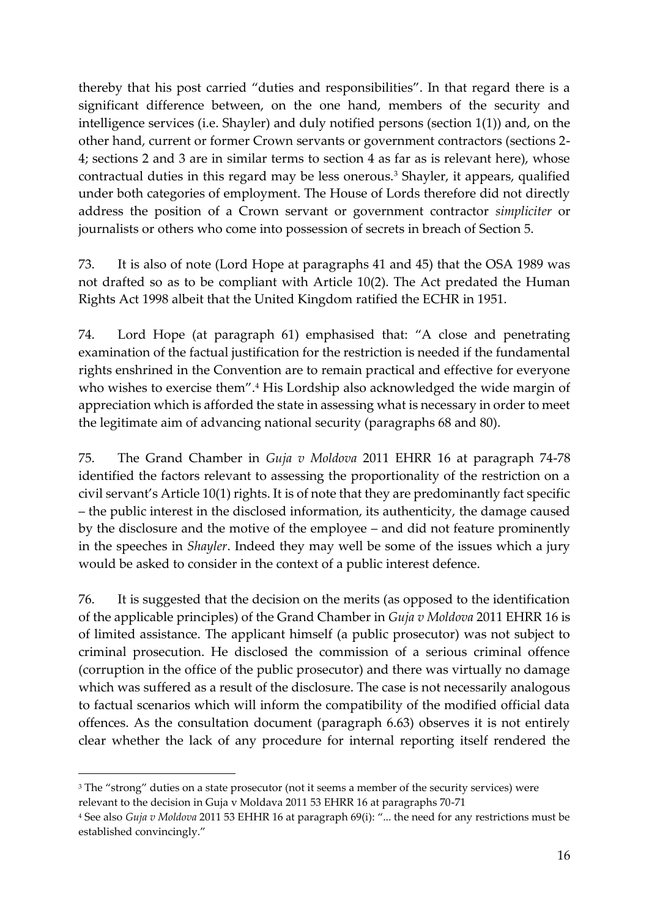thereby that his post carried "duties and responsibilities". In that regard there is a significant difference between, on the one hand, members of the security and intelligence services (i.e. Shayler) and duly notified persons (section 1(1)) and, on the other hand, current or former Crown servants or government contractors (sections 2- 4; sections 2 and 3 are in similar terms to section 4 as far as is relevant here), whose contractual duties in this regard may be less onerous.<sup>3</sup> Shayler, it appears, qualified under both categories of employment. The House of Lords therefore did not directly address the position of a Crown servant or government contractor *simpliciter* or journalists or others who come into possession of secrets in breach of Section 5.

73. It is also of note (Lord Hope at paragraphs 41 and 45) that the OSA 1989 was not drafted so as to be compliant with Article 10(2). The Act predated the Human Rights Act 1998 albeit that the United Kingdom ratified the ECHR in 1951.

74. Lord Hope (at paragraph 61) emphasised that: "A close and penetrating examination of the factual justification for the restriction is needed if the fundamental rights enshrined in the Convention are to remain practical and effective for everyone who wishes to exercise them".<sup>4</sup> His Lordship also acknowledged the wide margin of appreciation which is afforded the state in assessing what is necessary in order to meet the legitimate aim of advancing national security (paragraphs 68 and 80).

75. The Grand Chamber in *Guja v Moldova* 2011 EHRR 16 at paragraph 74-78 identified the factors relevant to assessing the proportionality of the restriction on a civil servant's Article 10(1) rights. It is of note that they are predominantly fact specific – the public interest in the disclosed information, its authenticity, the damage caused by the disclosure and the motive of the employee – and did not feature prominently in the speeches in *Shayler*. Indeed they may well be some of the issues which a jury would be asked to consider in the context of a public interest defence.

76. It is suggested that the decision on the merits (as opposed to the identification of the applicable principles) of the Grand Chamber in *Guja v Moldova* 2011 EHRR 16 is of limited assistance. The applicant himself (a public prosecutor) was not subject to criminal prosecution. He disclosed the commission of a serious criminal offence (corruption in the office of the public prosecutor) and there was virtually no damage which was suffered as a result of the disclosure. The case is not necessarily analogous to factual scenarios which will inform the compatibility of the modified official data offences. As the consultation document (paragraph 6.63) observes it is not entirely clear whether the lack of any procedure for internal reporting itself rendered the

1

<sup>&</sup>lt;sup>3</sup> The "strong" duties on a state prosecutor (not it seems a member of the security services) were relevant to the decision in Guja v Moldava 2011 53 EHRR 16 at paragraphs 70-71

<sup>4</sup> See also *Guja v Moldova* 2011 53 EHHR 16 at paragraph 69(i): "... the need for any restrictions must be established convincingly."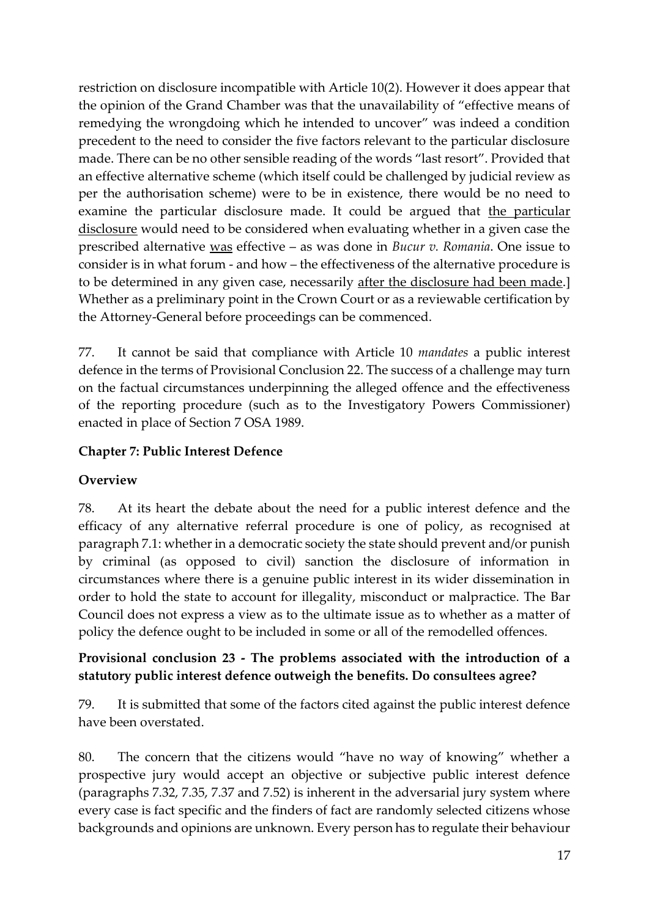restriction on disclosure incompatible with Article 10(2). However it does appear that the opinion of the Grand Chamber was that the unavailability of "effective means of remedying the wrongdoing which he intended to uncover" was indeed a condition precedent to the need to consider the five factors relevant to the particular disclosure made. There can be no other sensible reading of the words "last resort". Provided that an effective alternative scheme (which itself could be challenged by judicial review as per the authorisation scheme) were to be in existence, there would be no need to examine the particular disclosure made. It could be argued that the particular disclosure would need to be considered when evaluating whether in a given case the prescribed alternative was effective – as was done in *Bucur v. Romania*. One issue to consider is in what forum - and how – the effectiveness of the alternative procedure is to be determined in any given case, necessarily after the disclosure had been made.] Whether as a preliminary point in the Crown Court or as a reviewable certification by the Attorney-General before proceedings can be commenced.

77. It cannot be said that compliance with Article 10 *mandates* a public interest defence in the terms of Provisional Conclusion 22. The success of a challenge may turn on the factual circumstances underpinning the alleged offence and the effectiveness of the reporting procedure (such as to the Investigatory Powers Commissioner) enacted in place of Section 7 OSA 1989.

#### **Chapter 7: Public Interest Defence**

#### **Overview**

78. At its heart the debate about the need for a public interest defence and the efficacy of any alternative referral procedure is one of policy, as recognised at paragraph 7.1: whether in a democratic society the state should prevent and/or punish by criminal (as opposed to civil) sanction the disclosure of information in circumstances where there is a genuine public interest in its wider dissemination in order to hold the state to account for illegality, misconduct or malpractice. The Bar Council does not express a view as to the ultimate issue as to whether as a matter of policy the defence ought to be included in some or all of the remodelled offences.

### **Provisional conclusion 23 - The problems associated with the introduction of a statutory public interest defence outweigh the benefits. Do consultees agree?**

79. It is submitted that some of the factors cited against the public interest defence have been overstated.

80. The concern that the citizens would "have no way of knowing" whether a prospective jury would accept an objective or subjective public interest defence (paragraphs 7.32, 7.35, 7.37 and 7.52) is inherent in the adversarial jury system where every case is fact specific and the finders of fact are randomly selected citizens whose backgrounds and opinions are unknown. Every person has to regulate their behaviour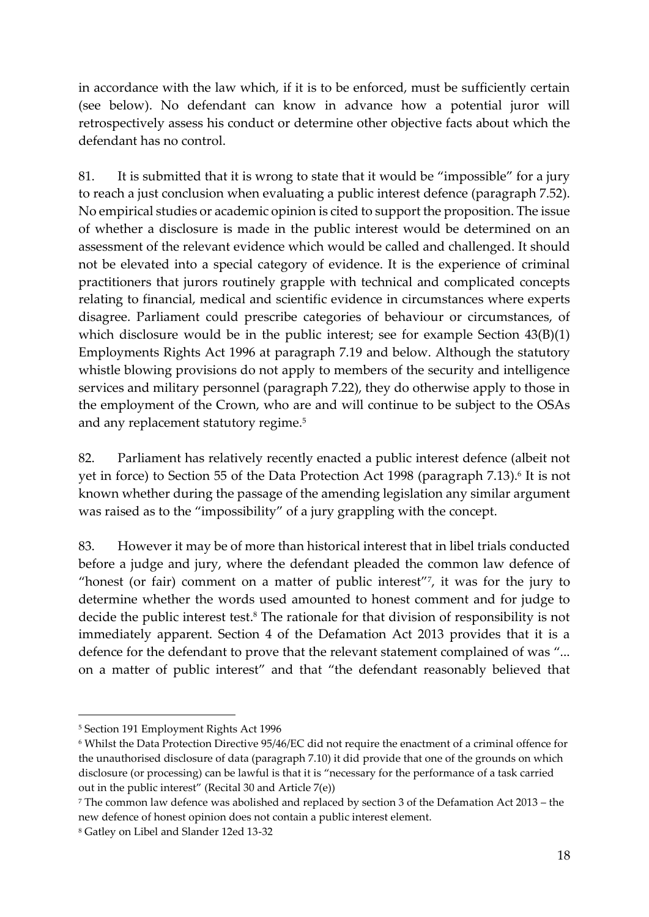in accordance with the law which, if it is to be enforced, must be sufficiently certain (see below). No defendant can know in advance how a potential juror will retrospectively assess his conduct or determine other objective facts about which the defendant has no control.

81. It is submitted that it is wrong to state that it would be "impossible" for a jury to reach a just conclusion when evaluating a public interest defence (paragraph 7.52). No empirical studies or academic opinion is cited to support the proposition. The issue of whether a disclosure is made in the public interest would be determined on an assessment of the relevant evidence which would be called and challenged. It should not be elevated into a special category of evidence. It is the experience of criminal practitioners that jurors routinely grapple with technical and complicated concepts relating to financial, medical and scientific evidence in circumstances where experts disagree. Parliament could prescribe categories of behaviour or circumstances, of which disclosure would be in the public interest; see for example Section 43(B)(1) Employments Rights Act 1996 at paragraph 7.19 and below. Although the statutory whistle blowing provisions do not apply to members of the security and intelligence services and military personnel (paragraph 7.22), they do otherwise apply to those in the employment of the Crown, who are and will continue to be subject to the OSAs and any replacement statutory regime.<sup>5</sup>

82. Parliament has relatively recently enacted a public interest defence (albeit not yet in force) to Section 55 of the Data Protection Act 1998 (paragraph 7.13).<sup>6</sup> It is not known whether during the passage of the amending legislation any similar argument was raised as to the "impossibility" of a jury grappling with the concept.

83. However it may be of more than historical interest that in libel trials conducted before a judge and jury, where the defendant pleaded the common law defence of "honest (or fair) comment on a matter of public interest"<sup>7</sup> , it was for the jury to determine whether the words used amounted to honest comment and for judge to decide the public interest test. <sup>8</sup> The rationale for that division of responsibility is not immediately apparent. Section 4 of the Defamation Act 2013 provides that it is a defence for the defendant to prove that the relevant statement complained of was "... on a matter of public interest" and that "the defendant reasonably believed that

 $\overline{a}$ 

<sup>5</sup> Section 191 Employment Rights Act 1996

<sup>6</sup> Whilst the Data Protection Directive 95/46/EC did not require the enactment of a criminal offence for the unauthorised disclosure of data (paragraph 7.10) it did provide that one of the grounds on which disclosure (or processing) can be lawful is that it is "necessary for the performance of a task carried out in the public interest" (Recital 30 and Article 7(e))

<sup>7</sup> The common law defence was abolished and replaced by section 3 of the Defamation Act 2013 – the new defence of honest opinion does not contain a public interest element.

<sup>8</sup> Gatley on Libel and Slander 12ed 13-32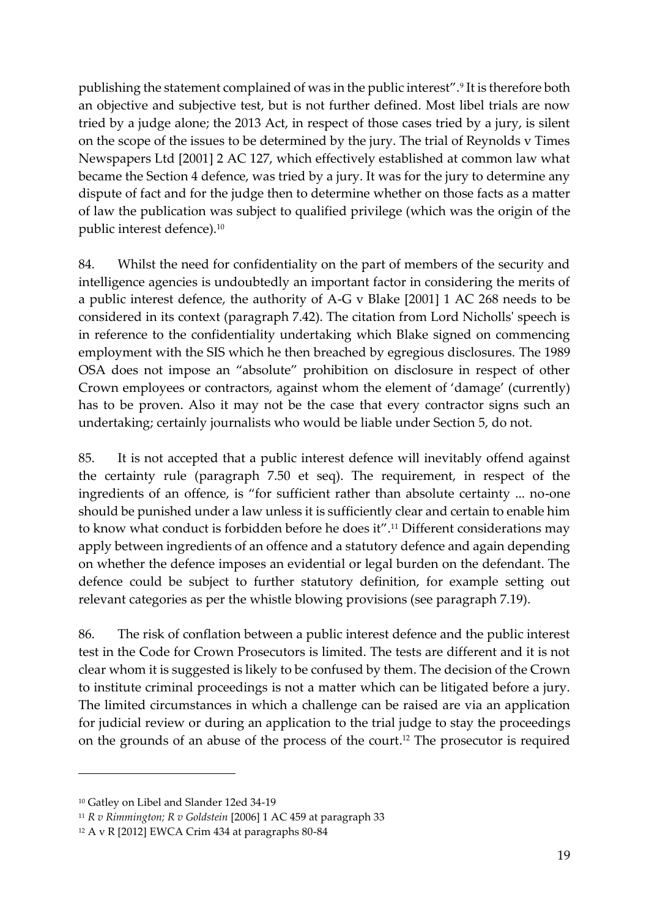publishing the statement complained of was in the public interest".<sup>9</sup> It is therefore both an objective and subjective test, but is not further defined. Most libel trials are now tried by a judge alone; the 2013 Act, in respect of those cases tried by a jury, is silent on the scope of the issues to be determined by the jury. The trial of Reynolds v Times Newspapers Ltd [2001] 2 AC 127, which effectively established at common law what became the Section 4 defence, was tried by a jury. It was for the jury to determine any dispute of fact and for the judge then to determine whether on those facts as a matter of law the publication was subject to qualified privilege (which was the origin of the public interest defence).<sup>10</sup>

84. Whilst the need for confidentiality on the part of members of the security and intelligence agencies is undoubtedly an important factor in considering the merits of a public interest defence, the authority of A-G v Blake [2001] 1 AC 268 needs to be considered in its context (paragraph 7.42). The citation from Lord Nicholls' speech is in reference to the confidentiality undertaking which Blake signed on commencing employment with the SIS which he then breached by egregious disclosures. The 1989 OSA does not impose an "absolute" prohibition on disclosure in respect of other Crown employees or contractors, against whom the element of 'damage' (currently) has to be proven. Also it may not be the case that every contractor signs such an undertaking; certainly journalists who would be liable under Section 5, do not.

85. It is not accepted that a public interest defence will inevitably offend against the certainty rule (paragraph 7.50 et seq). The requirement, in respect of the ingredients of an offence, is "for sufficient rather than absolute certainty ... no-one should be punished under a law unless it is sufficiently clear and certain to enable him to know what conduct is forbidden before he does it". <sup>11</sup> Different considerations may apply between ingredients of an offence and a statutory defence and again depending on whether the defence imposes an evidential or legal burden on the defendant. The defence could be subject to further statutory definition, for example setting out relevant categories as per the whistle blowing provisions (see paragraph 7.19).

86. The risk of conflation between a public interest defence and the public interest test in the Code for Crown Prosecutors is limited. The tests are different and it is not clear whom it is suggested is likely to be confused by them. The decision of the Crown to institute criminal proceedings is not a matter which can be litigated before a jury. The limited circumstances in which a challenge can be raised are via an application for judicial review or during an application to the trial judge to stay the proceedings on the grounds of an abuse of the process of the court. <sup>12</sup> The prosecutor is required

1

<sup>10</sup> Gatley on Libel and Slander 12ed 34-19

<sup>11</sup> *R v Rimmington; R v Goldstein* [2006] 1 AC 459 at paragraph 33

<sup>12</sup> A v R [2012] EWCA Crim 434 at paragraphs 80-84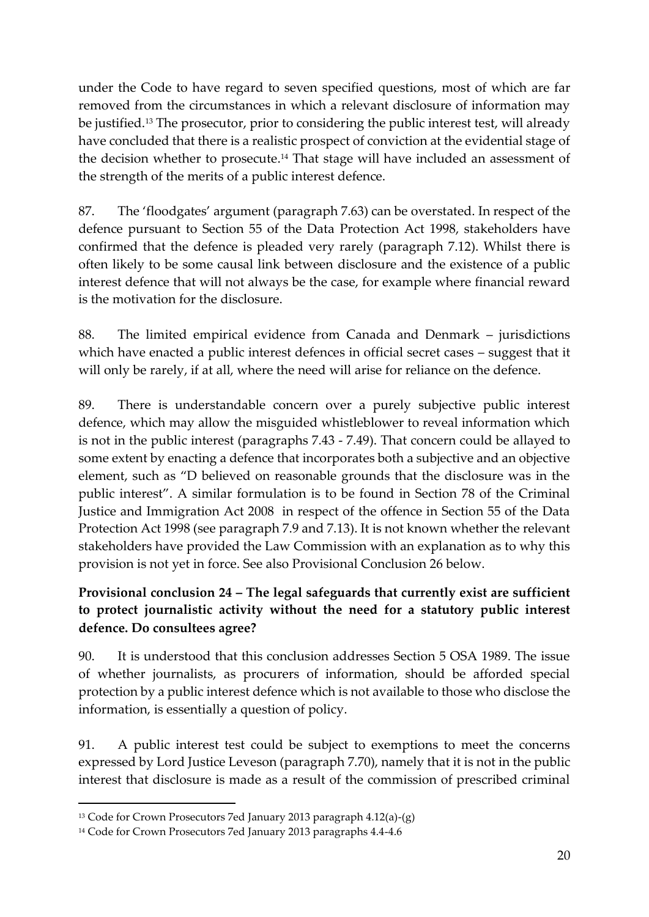under the Code to have regard to seven specified questions, most of which are far removed from the circumstances in which a relevant disclosure of information may be justified.<sup>13</sup> The prosecutor, prior to considering the public interest test, will already have concluded that there is a realistic prospect of conviction at the evidential stage of the decision whether to prosecute. <sup>14</sup> That stage will have included an assessment of the strength of the merits of a public interest defence.

87. The 'floodgates' argument (paragraph 7.63) can be overstated. In respect of the defence pursuant to Section 55 of the Data Protection Act 1998, stakeholders have confirmed that the defence is pleaded very rarely (paragraph 7.12). Whilst there is often likely to be some causal link between disclosure and the existence of a public interest defence that will not always be the case, for example where financial reward is the motivation for the disclosure.

88. The limited empirical evidence from Canada and Denmark – jurisdictions which have enacted a public interest defences in official secret cases – suggest that it will only be rarely, if at all, where the need will arise for reliance on the defence.

89. There is understandable concern over a purely subjective public interest defence, which may allow the misguided whistleblower to reveal information which is not in the public interest (paragraphs 7.43 - 7.49). That concern could be allayed to some extent by enacting a defence that incorporates both a subjective and an objective element, such as "D believed on reasonable grounds that the disclosure was in the public interest". A similar formulation is to be found in Section 78 of the Criminal Justice and Immigration Act 2008 in respect of the offence in Section 55 of the Data Protection Act 1998 (see paragraph 7.9 and 7.13). It is not known whether the relevant stakeholders have provided the Law Commission with an explanation as to why this provision is not yet in force. See also Provisional Conclusion 26 below.

# **Provisional conclusion 24 – The legal safeguards that currently exist are sufficient to protect journalistic activity without the need for a statutory public interest defence. Do consultees agree?**

90. It is understood that this conclusion addresses Section 5 OSA 1989. The issue of whether journalists, as procurers of information, should be afforded special protection by a public interest defence which is not available to those who disclose the information, is essentially a question of policy.

91. A public interest test could be subject to exemptions to meet the concerns expressed by Lord Justice Leveson (paragraph 7.70), namely that it is not in the public interest that disclosure is made as a result of the commission of prescribed criminal

1

<sup>13</sup> Code for Crown Prosecutors 7ed January 2013 paragraph 4.12(a)-(g)

<sup>14</sup> Code for Crown Prosecutors 7ed January 2013 paragraphs 4.4-4.6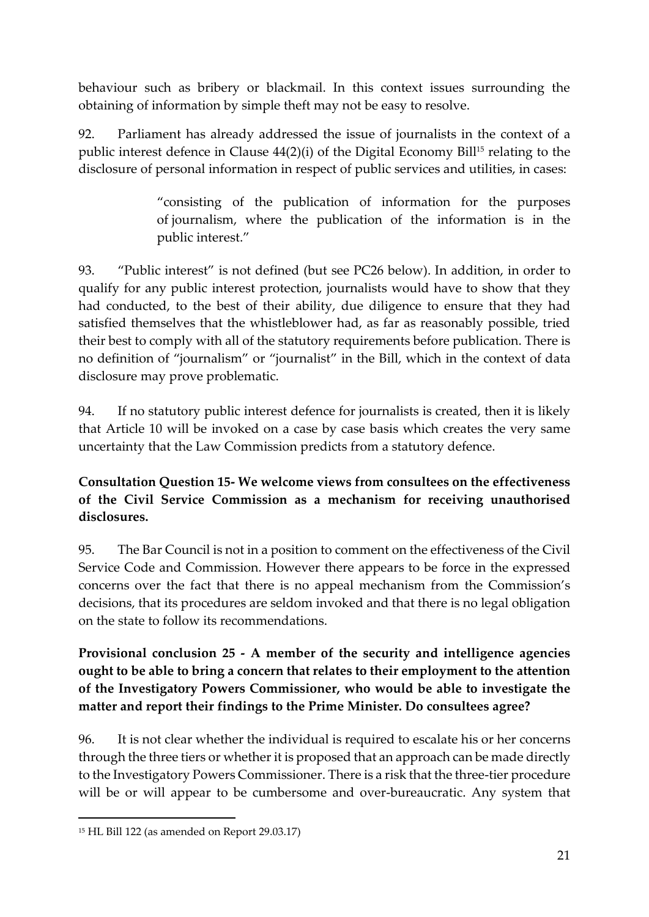behaviour such as bribery or blackmail. In this context issues surrounding the obtaining of information by simple theft may not be easy to resolve.

92. Parliament has already addressed the issue of journalists in the context of a public interest defence in Clause 44(2)(i) of the Digital Economy Bill<sup>15</sup> relating to the disclosure of personal information in respect of public services and utilities, in cases:

> "consisting of the publication of information for the purposes of journalism, where the publication of the information is in the public interest."

93. "Public interest" is not defined (but see PC26 below). In addition, in order to qualify for any public interest protection, journalists would have to show that they had conducted, to the best of their ability, due diligence to ensure that they had satisfied themselves that the whistleblower had, as far as reasonably possible, tried their best to comply with all of the statutory requirements before publication. There is no definition of "journalism" or "journalist" in the Bill, which in the context of data disclosure may prove problematic.

94. If no statutory public interest defence for journalists is created, then it is likely that Article 10 will be invoked on a case by case basis which creates the very same uncertainty that the Law Commission predicts from a statutory defence.

## **Consultation Question 15- We welcome views from consultees on the effectiveness of the Civil Service Commission as a mechanism for receiving unauthorised disclosures.**

95. The Bar Council is not in a position to comment on the effectiveness of the Civil Service Code and Commission. However there appears to be force in the expressed concerns over the fact that there is no appeal mechanism from the Commission's decisions, that its procedures are seldom invoked and that there is no legal obligation on the state to follow its recommendations.

**Provisional conclusion 25 - A member of the security and intelligence agencies ought to be able to bring a concern that relates to their employment to the attention of the Investigatory Powers Commissioner, who would be able to investigate the matter and report their findings to the Prime Minister. Do consultees agree?**

96. It is not clear whether the individual is required to escalate his or her concerns through the three tiers or whether it is proposed that an approach can be made directly to the Investigatory Powers Commissioner. There is a risk that the three-tier procedure will be or will appear to be cumbersome and over-bureaucratic. Any system that

 $\overline{a}$ 

<sup>15</sup> HL Bill 122 (as amended on Report 29.03.17)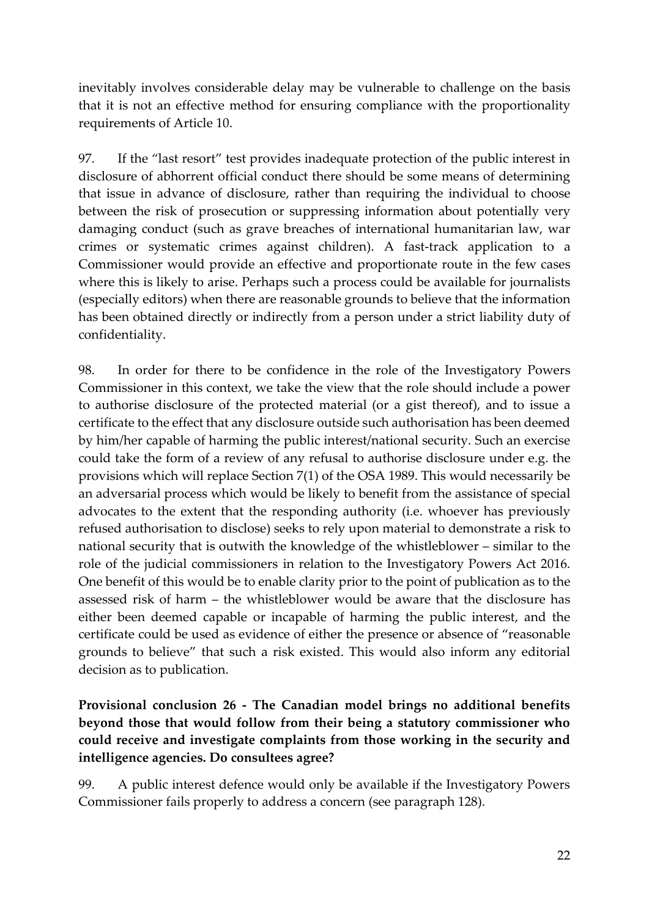inevitably involves considerable delay may be vulnerable to challenge on the basis that it is not an effective method for ensuring compliance with the proportionality requirements of Article 10.

97. If the "last resort" test provides inadequate protection of the public interest in disclosure of abhorrent official conduct there should be some means of determining that issue in advance of disclosure, rather than requiring the individual to choose between the risk of prosecution or suppressing information about potentially very damaging conduct (such as grave breaches of international humanitarian law, war crimes or systematic crimes against children). A fast-track application to a Commissioner would provide an effective and proportionate route in the few cases where this is likely to arise. Perhaps such a process could be available for journalists (especially editors) when there are reasonable grounds to believe that the information has been obtained directly or indirectly from a person under a strict liability duty of confidentiality.

98. In order for there to be confidence in the role of the Investigatory Powers Commissioner in this context, we take the view that the role should include a power to authorise disclosure of the protected material (or a gist thereof), and to issue a certificate to the effect that any disclosure outside such authorisation has been deemed by him/her capable of harming the public interest/national security. Such an exercise could take the form of a review of any refusal to authorise disclosure under e.g. the provisions which will replace Section 7(1) of the OSA 1989. This would necessarily be an adversarial process which would be likely to benefit from the assistance of special advocates to the extent that the responding authority (i.e. whoever has previously refused authorisation to disclose) seeks to rely upon material to demonstrate a risk to national security that is outwith the knowledge of the whistleblower – similar to the role of the judicial commissioners in relation to the Investigatory Powers Act 2016. One benefit of this would be to enable clarity prior to the point of publication as to the assessed risk of harm – the whistleblower would be aware that the disclosure has either been deemed capable or incapable of harming the public interest, and the certificate could be used as evidence of either the presence or absence of "reasonable grounds to believe" that such a risk existed. This would also inform any editorial decision as to publication.

### **Provisional conclusion 26 - The Canadian model brings no additional benefits beyond those that would follow from their being a statutory commissioner who could receive and investigate complaints from those working in the security and intelligence agencies. Do consultees agree?**

99. A public interest defence would only be available if the Investigatory Powers Commissioner fails properly to address a concern (see paragraph 128).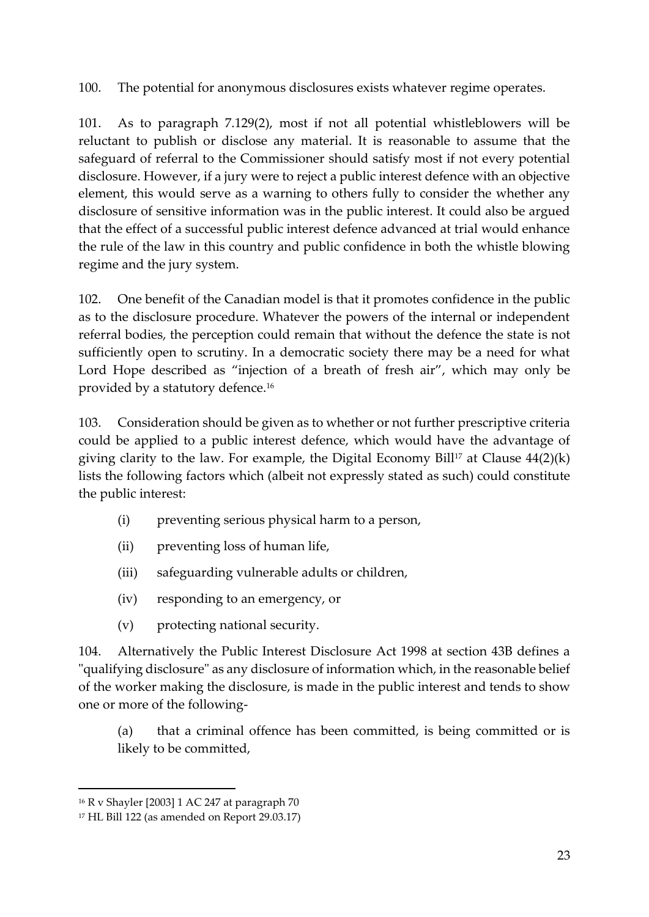100. The potential for anonymous disclosures exists whatever regime operates.

101. As to paragraph 7.129(2), most if not all potential whistleblowers will be reluctant to publish or disclose any material. It is reasonable to assume that the safeguard of referral to the Commissioner should satisfy most if not every potential disclosure. However, if a jury were to reject a public interest defence with an objective element, this would serve as a warning to others fully to consider the whether any disclosure of sensitive information was in the public interest. It could also be argued that the effect of a successful public interest defence advanced at trial would enhance the rule of the law in this country and public confidence in both the whistle blowing regime and the jury system.

102. One benefit of the Canadian model is that it promotes confidence in the public as to the disclosure procedure. Whatever the powers of the internal or independent referral bodies, the perception could remain that without the defence the state is not sufficiently open to scrutiny. In a democratic society there may be a need for what Lord Hope described as "injection of a breath of fresh air", which may only be provided by a statutory defence.<sup>16</sup>

103. Consideration should be given as to whether or not further prescriptive criteria could be applied to a public interest defence, which would have the advantage of giving clarity to the law. For example, the Digital Economy Bill<sup>17</sup> at Clause  $44(2)(k)$ lists the following factors which (albeit not expressly stated as such) could constitute the public interest:

- (i) preventing serious physical harm to a person,
- (ii) preventing loss of human life,
- (iii) safeguarding vulnerable adults or children,
- (iv) responding to an emergency, or
- (v) protecting national security.

104. Alternatively the Public Interest Disclosure Act 1998 at section 43B defines a "qualifying disclosure" as any disclosure of information which, in the reasonable belief of the worker making the disclosure, is made in the public interest and tends to show one or more of the following-

(a) that a criminal offence has been committed, is being committed or is likely to be committed,

 $\overline{a}$ 

<sup>16</sup> R v Shayler [2003] 1 AC 247 at paragraph 70

<sup>17</sup> HL Bill 122 (as amended on Report 29.03.17)